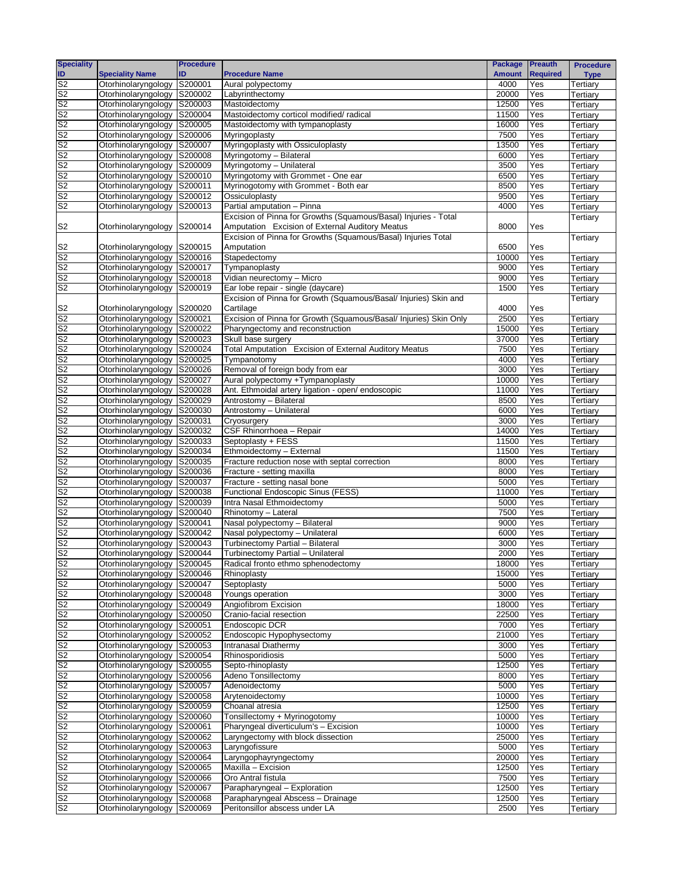| <b>Speciality</b>                |                                                            | <b>Procedure</b>   |                                                                     | Package Preauth |                   | <b>Procedure</b>     |
|----------------------------------|------------------------------------------------------------|--------------------|---------------------------------------------------------------------|-----------------|-------------------|----------------------|
| ID                               | <b>Speciality Name</b>                                     | ID                 | <b>Procedure Name</b>                                               | <b>Amount</b>   | <b>Required</b>   | <b>Type</b>          |
| S <sub>2</sub>                   | Otorhinolaryngology                                        | S200001            | Aural polypectomy                                                   | 4000            | Yes               | Tertiary             |
| S <sub>2</sub>                   | Otorhinolaryngology                                        | S200002            | Labyrinthectomy                                                     | 20000           | Yes               | Tertiary             |
| S <sub>2</sub>                   | Otorhinolaryngology S200003                                |                    | Mastoidectomy                                                       | 12500           | Yes               | Tertiary             |
| S <sub>2</sub>                   | Otorhinolaryngology S200004                                |                    | Mastoidectomy corticol modified/ radical                            | 11500           | Yes               | Tertiary             |
| S <sub>2</sub>                   | Otorhinolaryngology                                        | S200005            | Mastoidectomy with tympanoplasty                                    | 16000           | Yes               | Tertiary             |
| S <sub>2</sub>                   | Otorhinolaryngology                                        | S200006            | Myringoplasty                                                       | 7500            | Yes               | Tertiary             |
| S <sub>2</sub><br>S <sub>2</sub> | Otorhinolaryngology                                        | S200007<br>S200008 | Myringoplasty with Ossiculoplasty                                   | 13500           | Yes               | Tertiary             |
| S <sub>2</sub>                   | Otorhinolaryngology                                        |                    | Myringotomy - Bilateral                                             | 6000<br>3500    | Yes               | Tertiary             |
| S <sub>2</sub>                   | Otorhinolaryngology<br>Otorhinolaryngology                 | S200009<br>S200010 | Myringotomy - Unilateral<br>Myringotomy with Grommet - One ear      | 6500            | Yes<br>Yes        | Tertiary<br>Tertiary |
| S <sub>2</sub>                   | Otorhinolaryngology                                        | S200011            | Myrinogotomy with Grommet - Both ear                                | 8500            | Yes               | Tertiary             |
| S <sub>2</sub>                   | Otorhinolaryngology                                        | S200012            | Ossiculoplasty                                                      | 9500            | Yes               | Tertiary             |
| S <sub>2</sub>                   | Otorhinolaryngology                                        | S200013            | Partial amputation - Pinna                                          | 4000            | Yes               | Tertiary             |
|                                  |                                                            |                    | Excision of Pinna for Growths (Squamous/Basal) Injuries - Total     |                 |                   | Tertiary             |
| S <sub>2</sub>                   | Otorhinolaryngology                                        | S200014            | Amputation Excision of External Auditory Meatus                     | 8000            | Yes               |                      |
|                                  |                                                            |                    | Excision of Pinna for Growths (Squamous/Basal) Injuries Total       |                 |                   | Tertiary             |
| S <sub>2</sub>                   | Otorhinolaryngology                                        | S200015            | Amputation                                                          | 6500            | Yes               |                      |
| S <sub>2</sub>                   | Otorhinolaryngology S200016                                |                    | Stapedectomy                                                        | 10000           | Yes               | Tertiary             |
| S <sub>2</sub>                   | Otorhinolaryngology                                        | S200017            | Tympanoplasty                                                       | 9000            | Yes               | Tertiary             |
| S <sub>2</sub>                   | Otorhinolaryngology                                        | S200018            | Vidian neurectomy - Micro                                           | 9000            | Yes               | Tertiary             |
| S <sub>2</sub>                   | Otorhinolaryngology                                        | S200019            | Ear lobe repair - single (daycare)                                  | 1500            | Yes               | Tertiary             |
|                                  |                                                            |                    | Excision of Pinna for Growth (Squamous/Basal/ Injuries) Skin and    |                 |                   | Tertiary             |
| S <sub>2</sub>                   | Otorhinolaryngology S200020                                |                    | Cartilage                                                           | 4000            | Yes               |                      |
| S <sub>2</sub>                   | Otorhinolaryngology                                        | S200021            | Excision of Pinna for Growth (Squamous/Basal/ Injuries) Skin Only   | 2500            | Yes               | Tertiary             |
| S <sub>2</sub>                   | Otorhinolaryngology                                        | S200022            | Pharyngectomy and reconstruction                                    | 15000           | Yes               | Tertiary             |
| S <sub>2</sub>                   | Otorhinolaryngology                                        | S200023            | Skull base surgery                                                  | 37000           | Yes               | Tertiary             |
| S <sub>2</sub>                   | Otorhinolaryngology S200024                                |                    | Total Amputation Excision of External Auditory Meatus               | 7500            | Yes               | Tertiary             |
| S <sub>2</sub>                   | Otorhinolaryngology S200025                                |                    | Tympanotomy                                                         | 4000            | $\overline{Y}$ es | Tertiary             |
| S <sub>2</sub>                   | Otorhinolaryngology S200026                                |                    | Removal of foreign body from ear                                    | 3000            | Yes               | Tertiary             |
| S <sub>2</sub>                   | Otorhinolaryngology S200027                                |                    | Aural polypectomy +Tympanoplasty                                    | 10000           | Yes               | Tertiary             |
| S <sub>2</sub>                   | Otorhinolaryngology                                        | S200028            | Ant. Ethmoidal artery ligation - open/endoscopic                    | 11000<br>8500   | Yes               | Tertiary             |
| S <sub>2</sub><br>S <sub>2</sub> | Otorhinolaryngology<br>Otorhinolaryngology S200030         | S200029            | Antrostomy - Bilateral<br>Antrostomy - Unilateral                   | 6000            | Yes               | Tertiary             |
| S <sub>2</sub>                   | Otorhinolaryngology                                        | S200031            | Cryosurgery                                                         | 3000            | Yes<br>Yes        | Tertiary<br>Tertiary |
| S <sub>2</sub>                   | Otorhinolaryngology                                        | S200032            | CSF Rhinorrhoea - Repair                                            | 14000           | Yes               | Tertiary             |
| S <sub>2</sub>                   | Otorhinolaryngology                                        | S200033            | Septoplasty + FESS                                                  | 11500           | Yes               | Tertiary             |
| S <sub>2</sub>                   | Otorhinolaryngology                                        | S200034            | Ethmoidectomy - External                                            | 11500           | Yes               | Tertiary             |
| S <sub>2</sub>                   | Otorhinolaryngology                                        | S200035            | Fracture reduction nose with septal correction                      | 8000            | Yes               | Tertiary             |
| S <sub>2</sub>                   | Otorhinolaryngology                                        | S200036            | Fracture - setting maxilla                                          | 8000            | Yes               | Tertiary             |
| S <sub>2</sub>                   | Otorhinolaryngology                                        | S200037            | Fracture - setting nasal bone                                       | 5000            | Yes               | Tertiary             |
| S <sub>2</sub>                   | Otorhinolaryngology S200038                                |                    | <b>Functional Endoscopic Sinus (FESS)</b>                           | 11000           | Yes               | Tertiary             |
| S <sub>2</sub>                   | Otorhinolaryngology S200039                                |                    | Intra Nasal Ethmoidectomy                                           | 5000            | Yes               | Tertiary             |
| S <sub>2</sub>                   | Otorhinolaryngology S200040                                |                    | Rhinotomy - Lateral                                                 | 7500            | Yes               | Tertiary             |
| S <sub>2</sub>                   | Otorhinolaryngology                                        | S200041            | Nasal polypectomy - Bilateral                                       | 9000            | Yes               | Tertiary             |
| S <sub>2</sub>                   | Otorhinolaryngology                                        | S200042            | Nasal polypectomy - Unilateral                                      | 6000            | Yes               | Tertiary             |
| S <sub>2</sub>                   | Otorhinolaryngology S200043                                |                    | Turbinectomy Partial - Bilateral                                    | 3000            | Yes               | Tertiary             |
| S <sub>2</sub>                   | Otorhinolaryngology S200044                                |                    | Turbinectomy Partial - Unilateral                                   | 2000            | Yes               | Tertiary             |
| S <sub>2</sub>                   | Otorhinolaryngology S200045                                |                    | Radical fronto ethmo sphenodectomy                                  | 18000           | Yes               | Tertiary             |
| S <sub>2</sub>                   | Otorhinolaryngology S200046                                |                    | Rhinoplasty                                                         | 15000           | Yes               | Tertiary             |
| S <sub>2</sub><br>S <sub>2</sub> | Otorhinolaryngology S200047<br>Otorhinolaryngology S200048 |                    | Septoplasty<br>Youngs operation                                     | 5000<br>3000    | Yes<br>Yes        | Tertiary             |
| S <sub>2</sub>                   | Otorhinolaryngology S200049                                |                    | Angiofibrom Excision                                                | 18000           | Yes               | Tertiary<br>Tertiary |
| S <sub>2</sub>                   | Otorhinolaryngology S200050                                |                    | Cranio-facial resection                                             | 22500           | Yes               | Tertiary             |
| S <sub>2</sub>                   | Otorhinolaryngology S200051                                |                    | Endoscopic DCR                                                      | 7000            | Yes               | Tertiary             |
| S <sub>2</sub>                   | Otorhinolaryngology S200052                                |                    | Endoscopic Hypophysectomy                                           | 21000           | Yes               | Tertiary             |
| S <sub>2</sub>                   | Otorhinolaryngology S200053                                |                    | Intranasal Diathermy                                                | 3000            | Yes               | Tertiary             |
| S <sub>2</sub>                   | Otorhinolaryngology S200054                                |                    | Rhinosporidiosis                                                    | 5000            | Yes               | Tertiary             |
| S <sub>2</sub>                   | Otorhinolaryngology S200055                                |                    | Septo-rhinoplasty                                                   | 12500           | Yes               | Tertiary             |
| S <sub>2</sub>                   | Otorhinolaryngology S200056                                |                    | Adeno Tonsillectomy                                                 | 8000            | Yes               | Tertiary             |
| S <sub>2</sub>                   | Otorhinolaryngology                                        | S200057            | Adenoidectomy                                                       | 5000            | Yes               | Tertiary             |
| S <sub>2</sub>                   | Otorhinolaryngology                                        | S200058            | Arytenoidectomy                                                     | 10000           | Yes               | Tertiary             |
| S <sub>2</sub>                   | Otorhinolaryngology S200059                                |                    | Choanal atresia                                                     | 12500           | Yes               | Tertiary             |
| S <sub>2</sub>                   | Otorhinolaryngology S200060                                |                    | Tonsillectomy + Myrinogotomy                                        | 10000           | Yes               | Tertiary             |
| S <sub>2</sub>                   | Otorhinolaryngology                                        | S200061            | Pharyngeal diverticulum's - Excision                                | 10000           | Yes               | Tertiary             |
| S <sub>2</sub>                   | Otorhinolaryngology S200062                                |                    | Laryngectomy with block dissection                                  | 25000           | Yes               | Tertiary             |
| S <sub>2</sub>                   | Otorhinolaryngology S200063                                |                    | Laryngofissure                                                      | 5000            | Yes               | Tertiary             |
| S <sub>2</sub>                   | Otorhinolaryngology S200064                                |                    | Laryngophayryngectomy                                               | 20000           | Yes               | Tertiary             |
| S <sub>2</sub>                   | Otorhinolaryngology S200065                                |                    | Maxilla - Excision                                                  | 12500           | Yes               | Tertiary             |
| S <sub>2</sub>                   | Otorhinolaryngology S200066                                |                    | Oro Antral fistula                                                  | 7500            | Yes               | Tertiary             |
| S <sub>2</sub>                   | Otorhinolaryngology S200067                                |                    | Parapharyngeal - Exploration                                        | 12500           | Yes               | Tertiary             |
| S <sub>2</sub>                   | Otorhinolaryngology S200068<br>Otorhinolaryngology         |                    | Parapharyngeal Abscess - Drainage<br>Peritonsillor abscess under LA | 12500<br>2500   | Yes               | Tertiary             |
| S <sub>2</sub>                   |                                                            | S200069            |                                                                     |                 | Yes               | Tertiary             |